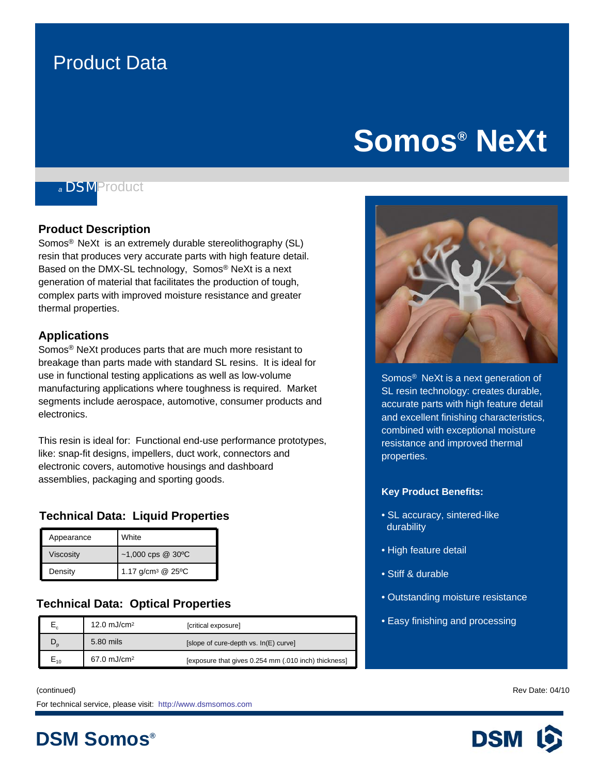### Product Data

## **Somos® NeXt**

### *<sup>a</sup>* DSMProduct

#### **Product Description**

Somos® NeXt is an extremely durable stereolithography (SL) resin that produces very accurate parts with high feature detail. Based on the DMX-SL technology, Somos® NeXt is a next generation of material that facilitates the production of tough, complex parts with improved moisture resistance and greater thermal properties.

#### **Applications**

Somos® NeXt produces parts that are much more resistant to breakage than parts made with standard SL resins. It is ideal for use in functional testing applications as well as low-volume manufacturing applications where toughness is required. Market segments include aerospace, automotive, consumer products and electronics.

This resin is ideal for: Functional end-use performance prototypes, like: snap-fit designs, impellers, duct work, connectors and electronic covers, automotive housings and dashboard assemblies, packaging and sporting goods.

#### **Technical Data: Liquid Properties**

| Appearance       | White                         |
|------------------|-------------------------------|
| <b>Viscosity</b> | $~1,000$ cps @ 30°C           |
| Density          | 1.17 g/cm <sup>3</sup> @ 25°C |

#### **Technical Data: Optical Properties**

|       | 12.0 $mJ/cm2$          | [critical exposure]                                  |
|-------|------------------------|------------------------------------------------------|
|       | 5.80 mils              | [slope of cure-depth vs. In(E) curve]                |
| $-10$ | $67.0 \text{ mJ/cm}^2$ | [exposure that gives 0.254 mm (.010 inch) thickness] |



Somos<sup>®</sup> NeXt is a next generation of en technology: created dataster,<br>accurate parts with high feature detail and excellent finishing characteristics, resistance and improved thermal SL resin technology: creates durable, combined with exceptional moisture properties.

#### **Key Product Benefits:**

- SL accuracy, sintered-like durability
- High feature detail
- Stiff & durable
- Outstanding moisture resistance
- Easy finishing and processing

(continued) Rev Date: 04/10

**DSM Somos®**

For technical service, please visit: http://www.dsmsomos.com